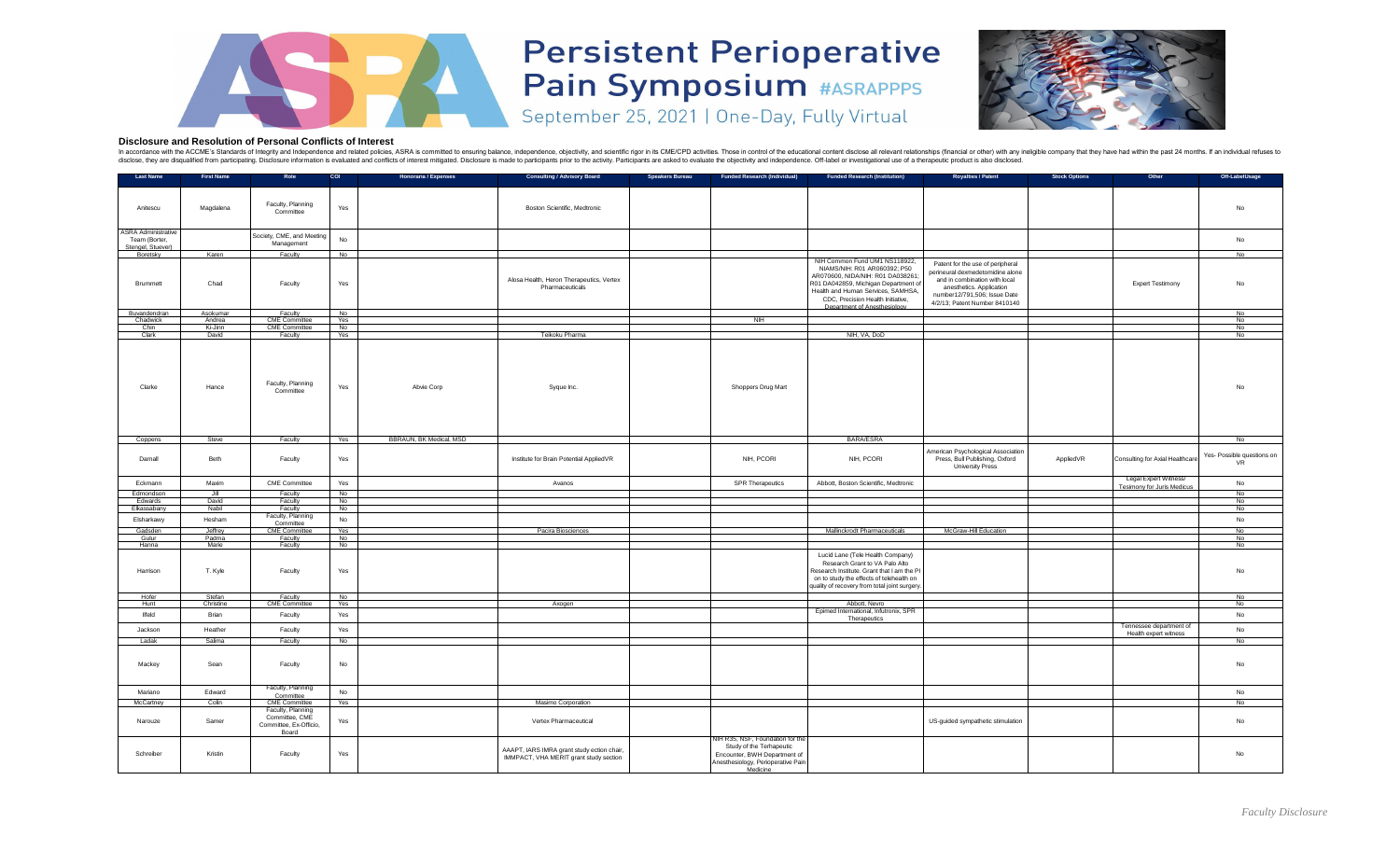| <b>Last Name</b>                                                 | <b>First Name</b> | Role                                                                   | <b>COI</b> | <b>Honoraria / Expenses</b>    | <b>Consulting / Advisory Board</b>                                                   | <b>Speakers Bureau</b> | <b>Funded Research (Individual)</b>                                                                                                            | <b>Funded Research (Institution)</b>                                                                                                                                                                                                                 | <b>Royalties / Patent</b>                                                                                                                                                                          | <b>Stock Options</b> | Other                                                      | Off-LabelUsage                          |
|------------------------------------------------------------------|-------------------|------------------------------------------------------------------------|------------|--------------------------------|--------------------------------------------------------------------------------------|------------------------|------------------------------------------------------------------------------------------------------------------------------------------------|------------------------------------------------------------------------------------------------------------------------------------------------------------------------------------------------------------------------------------------------------|----------------------------------------------------------------------------------------------------------------------------------------------------------------------------------------------------|----------------------|------------------------------------------------------------|-----------------------------------------|
| Anitescu                                                         | Magdalena         | Faculty, Planning<br>Committee                                         | Yes        |                                | <b>Boston Scientific, Medtronic</b>                                                  |                        |                                                                                                                                                |                                                                                                                                                                                                                                                      |                                                                                                                                                                                                    |                      |                                                            | No                                      |
| <b>ASRA Administrative</b><br>Team (Borter,<br>Stengel, Stuever) |                   | Society, CME, and Meeting<br>Management                                | No         |                                |                                                                                      |                        |                                                                                                                                                |                                                                                                                                                                                                                                                      |                                                                                                                                                                                                    |                      |                                                            | No                                      |
| Boretsky                                                         | Karen             | Faculty                                                                | No         |                                |                                                                                      |                        |                                                                                                                                                |                                                                                                                                                                                                                                                      |                                                                                                                                                                                                    |                      |                                                            | No                                      |
| <b>Brummett</b>                                                  | Chad              | Faculty                                                                | Yes        |                                | Alosa Health, Heron Therapeutics, Vertex<br>Pharmaceuticals                          |                        |                                                                                                                                                | NIH Common Fund UM1 NS118922,<br>NIAMS/NIH: R01 AR060392; P50<br>AR070600, NIDA/NIH: R01 DA038261<br>R01 DA042859, Michigan Department of<br>Health and Human Services, SAMHSA,<br>CDC, Precision Health Initiative,<br>Department of Anesthesiology | Patent for the use of peripheral<br>perineural dexmedetomidine alone<br>and in combination with local<br>anesthetics. Application<br>number12/791,506; Issue Date<br>4/2/13; Patent Number 8410140 |                      | <b>Expert Testimony</b>                                    | No                                      |
| Buvandendran                                                     | Asokumar          | Faculty                                                                | No         |                                |                                                                                      |                        |                                                                                                                                                |                                                                                                                                                                                                                                                      |                                                                                                                                                                                                    |                      |                                                            | <b>No</b>                               |
| Chadwick<br>Chin                                                 | Andrea<br>Ki-Jinn | <b>CME Committee</b><br><b>CME Committee</b>                           | Yes        |                                |                                                                                      |                        | N <sub>II</sub>                                                                                                                                |                                                                                                                                                                                                                                                      |                                                                                                                                                                                                    |                      |                                                            | <b>No</b><br>No                         |
| Clark                                                            | David             | Faculty                                                                | No<br>Yes  |                                | Teikoku Pharma                                                                       |                        |                                                                                                                                                | NIH, VA, DoD                                                                                                                                                                                                                                         |                                                                                                                                                                                                    |                      |                                                            | No                                      |
| Clarke                                                           | Hance             | Faculty, Planning<br>Committee                                         | Yes        | Abvie Corp                     | Syque Inc.                                                                           |                        | <b>Shoppers Drug Mart</b>                                                                                                                      |                                                                                                                                                                                                                                                      |                                                                                                                                                                                                    |                      |                                                            | No                                      |
| Coppens                                                          | Steve             | Faculty                                                                | Yes        | <b>BBRAUN, BK Medical, MSD</b> |                                                                                      |                        |                                                                                                                                                | <b>BARA/ESRA</b>                                                                                                                                                                                                                                     |                                                                                                                                                                                                    |                      |                                                            | No                                      |
| Darnall                                                          | Beth              | Faculty                                                                | Yes        |                                | Institute for Brain Potential AppliedVR                                              |                        | NIH, PCORI                                                                                                                                     | NIH, PCORI                                                                                                                                                                                                                                           | American Psychological Association<br>Press, Bull Publishing, Oxford<br><b>University Press</b>                                                                                                    | AppliedVR            | Consulting for Axial Healthcare                            | Yes- Possible questions on<br><b>VR</b> |
| Eckmann<br>Edmondson                                             | Maxim<br>Jill     | <b>CME Committee</b><br>Faculty                                        | Yes<br>No  |                                | Avanos                                                                               |                        | <b>SPR Therapeutics</b>                                                                                                                        | Abbott, Boston Scientific, Medtronic                                                                                                                                                                                                                 |                                                                                                                                                                                                    |                      | Legal Expert Witness/<br><b>Tesimony for Juris Medicus</b> | No<br>No                                |
| Edwards                                                          | David             | Faculty                                                                | No         |                                |                                                                                      |                        |                                                                                                                                                |                                                                                                                                                                                                                                                      |                                                                                                                                                                                                    |                      |                                                            | No                                      |
| Elkassabany                                                      | Nabil             | Faculty                                                                | No         |                                |                                                                                      |                        |                                                                                                                                                |                                                                                                                                                                                                                                                      |                                                                                                                                                                                                    |                      |                                                            | No                                      |
| Elsharkawy                                                       | Hesham            | Faculty, Planning<br>Committee                                         | No         |                                |                                                                                      |                        |                                                                                                                                                |                                                                                                                                                                                                                                                      |                                                                                                                                                                                                    |                      |                                                            | No                                      |
| Gadsden                                                          | Jeffrey           | <b>CME Committee</b>                                                   | Yes        |                                | Pacira Biosciences                                                                   |                        |                                                                                                                                                | <b>Mallinckrodt Pharmaceuticals</b>                                                                                                                                                                                                                  | <b>McGraw-Hill Education</b>                                                                                                                                                                       |                      |                                                            | No                                      |
| Gulur                                                            | Padma             | Faculty                                                                | No         |                                |                                                                                      |                        |                                                                                                                                                |                                                                                                                                                                                                                                                      |                                                                                                                                                                                                    |                      |                                                            | No<br>No                                |
| Hanna<br>Harrison                                                | Marie<br>T. Kyle  | Faculty<br>Faculty                                                     | No<br>Yes  |                                |                                                                                      |                        |                                                                                                                                                | Lucid Lane (Tele Health Company)<br>Research Grant to VA Palo Alto<br>Research Institute. Grant that I am the PI<br>on to study the effects of telehealth on<br>quality of recovery from total joint surgery.                                        |                                                                                                                                                                                                    |                      |                                                            | No                                      |
| Hofer                                                            | Stefan            | Faculty                                                                | No         |                                |                                                                                      |                        |                                                                                                                                                |                                                                                                                                                                                                                                                      |                                                                                                                                                                                                    |                      |                                                            | No                                      |
| Hunt                                                             | Christine         | <b>CME Committee</b>                                                   | Yes        |                                | Axogen                                                                               |                        |                                                                                                                                                | Abbott, Nevro                                                                                                                                                                                                                                        |                                                                                                                                                                                                    |                      |                                                            | No                                      |
| <b>Ilfeld</b>                                                    | Brian             | Faculty                                                                | Yes        |                                |                                                                                      |                        |                                                                                                                                                | Epimed International, Infutronix, SPR<br>Therapeutics                                                                                                                                                                                                |                                                                                                                                                                                                    |                      | Tennessee department of                                    | No                                      |
| Jackson                                                          | Heather           | Faculty                                                                | Yes        |                                |                                                                                      |                        |                                                                                                                                                |                                                                                                                                                                                                                                                      |                                                                                                                                                                                                    |                      | Health expert witness                                      | No                                      |
| Ladak                                                            | Salima            | Faculty                                                                | No         |                                |                                                                                      |                        |                                                                                                                                                |                                                                                                                                                                                                                                                      |                                                                                                                                                                                                    |                      |                                                            | No                                      |
| Mackey                                                           | Sean              | Faculty                                                                | No         |                                |                                                                                      |                        |                                                                                                                                                |                                                                                                                                                                                                                                                      |                                                                                                                                                                                                    |                      |                                                            | No                                      |
| Mariano                                                          | Edward            | Faculty, Planning<br>Committee                                         | No         |                                |                                                                                      |                        |                                                                                                                                                |                                                                                                                                                                                                                                                      |                                                                                                                                                                                                    |                      |                                                            | No                                      |
| McCartney                                                        | Colin             | <b>CME Committee</b>                                                   | Yes        |                                | Masimo Corporation                                                                   |                        |                                                                                                                                                |                                                                                                                                                                                                                                                      |                                                                                                                                                                                                    |                      |                                                            | No                                      |
| Narouze                                                          | Samer             | Faculty, Planning<br>Committee, CME<br>Committee, Ex-Officio,<br>Board | Yes        |                                | Vertex Pharmaceutical                                                                |                        |                                                                                                                                                |                                                                                                                                                                                                                                                      | US-guided sympathetic stimulation                                                                                                                                                                  |                      |                                                            | No                                      |
| Schreiber                                                        | Kristin           | Faculty                                                                | Yes        |                                | AAAPT, IARS IMRA grant study ection chair,<br>IMMPACT, VHA MERIT grant study section |                        | NIH R35, NSF, Foundation for the<br>Study of the Terhapeutic<br>Encounter, BWH Department of<br>Anesthesiology, Perioperative Pain<br>Medicine |                                                                                                                                                                                                                                                      |                                                                                                                                                                                                    |                      |                                                            | No                                      |

## **Persistent Perioperative<br>Pain Symposium #ASRAPPPS** September 25, 2021 | One-Day, Fully Virtual





## **Disclosure and Resolution of Personal Conflicts of Interest**

In accordance with the ACCME's Standards of Integrity and Independence and related policies, ASRA is committed to ensuring balance, independence, objectivity, and scientific rigor in its CME/CPD activities. Those in contro disclose, they are disqualified from participating. Disclosure information is evaluated and conflicts of interest mitigated. Disclosure is made to participants prior to the activity. Participants are asked to evaluate the